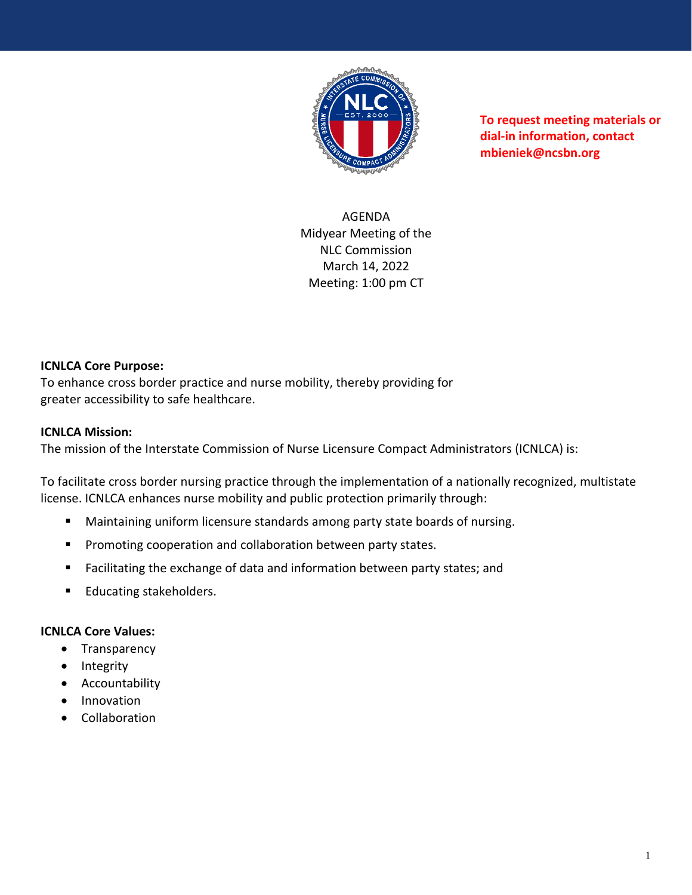

**To request meeting materials or dial-in information, contact mbieniek@ncsbn.org** 

AGENDA Midyear Meeting of the NLC Commission March 14, 2022 Meeting: 1:00 pm CT

## **ICNLCA Core Purpose:**

To enhance cross border practice and nurse mobility, thereby providing for greater accessibility to safe healthcare.

## **ICNLCA Mission:**

The mission of the Interstate Commission of Nurse Licensure Compact Administrators (ICNLCA) is:

To facilitate cross border nursing practice through the implementation of a nationally recognized, multistate license. ICNLCA enhances nurse mobility and public protection primarily through:

- Maintaining uniform licensure standards among party state boards of nursing.
- Promoting cooperation and collaboration between party states.
- Facilitating the exchange of data and information between party states; and
- Educating stakeholders.

## **ICNLCA Core Values:**

- Transparency
- Integrity
- Accountability
- Innovation
- Collaboration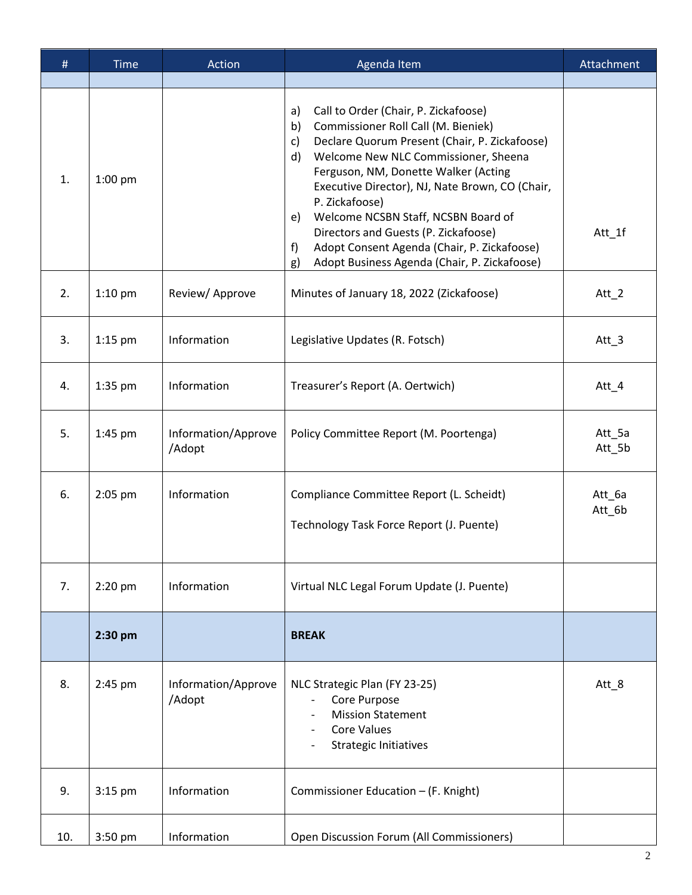| #   | <b>Time</b> | Action                        | Agenda Item                                                                                                                                                                                                                                                                                                                                                                                                                                                                                                        | Attachment       |
|-----|-------------|-------------------------------|--------------------------------------------------------------------------------------------------------------------------------------------------------------------------------------------------------------------------------------------------------------------------------------------------------------------------------------------------------------------------------------------------------------------------------------------------------------------------------------------------------------------|------------------|
| 1.  | $1:00$ pm   |                               | Call to Order (Chair, P. Zickafoose)<br>a)<br>Commissioner Roll Call (M. Bieniek)<br>b)<br>Declare Quorum Present (Chair, P. Zickafoose)<br>c)<br>Welcome New NLC Commissioner, Sheena<br>$\mathsf{d}$<br>Ferguson, NM, Donette Walker (Acting<br>Executive Director), NJ, Nate Brown, CO (Chair,<br>P. Zickafoose)<br>Welcome NCSBN Staff, NCSBN Board of<br>e)<br>Directors and Guests (P. Zickafoose)<br>Adopt Consent Agenda (Chair, P. Zickafoose)<br>f<br>Adopt Business Agenda (Chair, P. Zickafoose)<br>g) | Att_1f           |
| 2.  | $1:10$ pm   | Review/Approve                | Minutes of January 18, 2022 (Zickafoose)                                                                                                                                                                                                                                                                                                                                                                                                                                                                           | Att $_2$         |
| 3.  | $1:15$ pm   | Information                   | Legislative Updates (R. Fotsch)                                                                                                                                                                                                                                                                                                                                                                                                                                                                                    | Att $_3$         |
| 4.  | 1:35 pm     | Information                   | Treasurer's Report (A. Oertwich)                                                                                                                                                                                                                                                                                                                                                                                                                                                                                   | Att $_4$         |
| 5.  | 1:45 pm     | Information/Approve<br>/Adopt | Policy Committee Report (M. Poortenga)                                                                                                                                                                                                                                                                                                                                                                                                                                                                             | Att_5a<br>Att_5b |
| 6.  | $2:05$ pm   | Information                   | Compliance Committee Report (L. Scheidt)<br>Technology Task Force Report (J. Puente)                                                                                                                                                                                                                                                                                                                                                                                                                               | Att 6a<br>Att_6b |
| 7.  | 2:20 pm     | Information                   | Virtual NLC Legal Forum Update (J. Puente)                                                                                                                                                                                                                                                                                                                                                                                                                                                                         |                  |
|     | 2:30 pm     |                               | <b>BREAK</b>                                                                                                                                                                                                                                                                                                                                                                                                                                                                                                       |                  |
| 8.  | 2:45 pm     | Information/Approve<br>/Adopt | NLC Strategic Plan (FY 23-25)<br>Core Purpose<br><b>Mission Statement</b><br>Core Values<br><b>Strategic Initiatives</b>                                                                                                                                                                                                                                                                                                                                                                                           | Att $_8$         |
| 9.  | $3:15$ pm   | Information                   | Commissioner Education - (F. Knight)                                                                                                                                                                                                                                                                                                                                                                                                                                                                               |                  |
| 10. | 3:50 pm     | Information                   | Open Discussion Forum (All Commissioners)                                                                                                                                                                                                                                                                                                                                                                                                                                                                          |                  |